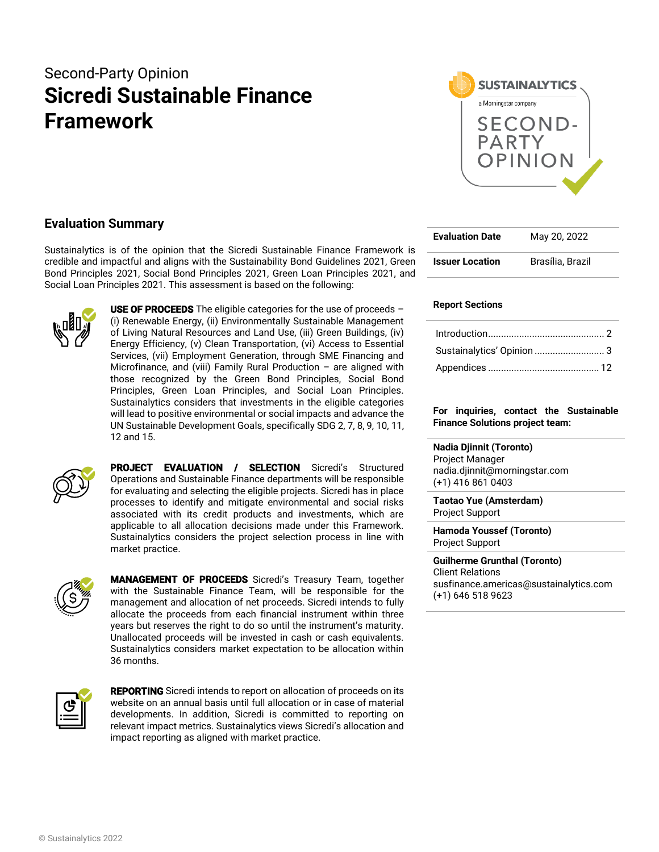# Second-Party Opinion **Sicredi Sustainable Finance Framework**



### **Evaluation Summary**

Sustainalytics is of the opinion that the Sicredi Sustainable Finance Framework is credible and impactful and aligns with the Sustainability Bond Guidelines 2021, Green Bond Principles 2021, Social Bond Principles 2021, Green Loan Principles 2021, and Social Loan Principles 2021. This assessment is based on the following:



**USE OF PROCEEDS** The eligible categories for the use of proceeds  $-$ (i) Renewable Energy, (ii) Environmentally Sustainable Management of Living Natural Resources and Land Use, (iii) Green Buildings, (iv) Energy Efficiency, (v) Clean Transportation, (vi) Access to Essential Services, (vii) Employment Generation, through SME Financing and Microfinance, and (viii) Family Rural Production – are aligned with those recognized by the Green Bond Principles, Social Bond Principles, Green Loan Principles, and Social Loan Principles. Sustainalytics considers that investments in the eligible categories will lead to positive environmental or social impacts and advance the UN Sustainable Development Goals, specifically SDG 2, 7, 8, 9, 10, 11, 12 and 15.



PROJECT EVALUATION / SELECTION Sicredi's Structured Operations and Sustainable Finance departments will be responsible for evaluating and selecting the eligible projects. Sicredi has in place processes to identify and mitigate environmental and social risks associated with its credit products and investments, which are applicable to all allocation decisions made under this Framework. Sustainalytics considers the project selection process in line with market practice.



MANAGEMENT OF PROCEEDS Sicredi's Treasury Team, together with the Sustainable Finance Team, will be responsible for the management and allocation of net proceeds. Sicredi intends to fully allocate the proceeds from each financial instrument within three years but reserves the right to do so until the instrument's maturity. Unallocated proceeds will be invested in cash or cash equivalents. Sustainalytics considers market expectation to be allocation within 36 months.



REPORTING Sicredi intends to report on allocation of proceeds on its website on an annual basis until full allocation or in case of material developments. In addition, Sicredi is committed to reporting on relevant impact metrics. Sustainalytics views Sicredi's allocation and impact reporting as aligned with market practice.

| <b>Evaluation Date</b> | May 20, 2022     |
|------------------------|------------------|
| <b>Issuer Location</b> | Brasília, Brazil |

### **Report Sections**

### **For inquiries, contact the Sustainable Finance Solutions project team:**

**Nadia Djinnit (Toronto)** Project Manager nadia.djinnit@morningstar.com (+1) 416 861 0403

**Taotao Yue (Amsterdam)** Project Support

**Hamoda Youssef (Toronto)** Project Support

**Guilherme Grunthal (Toronto)** Client Relations susfinance.americas@sustainalytics.com (+1) 646 518 9623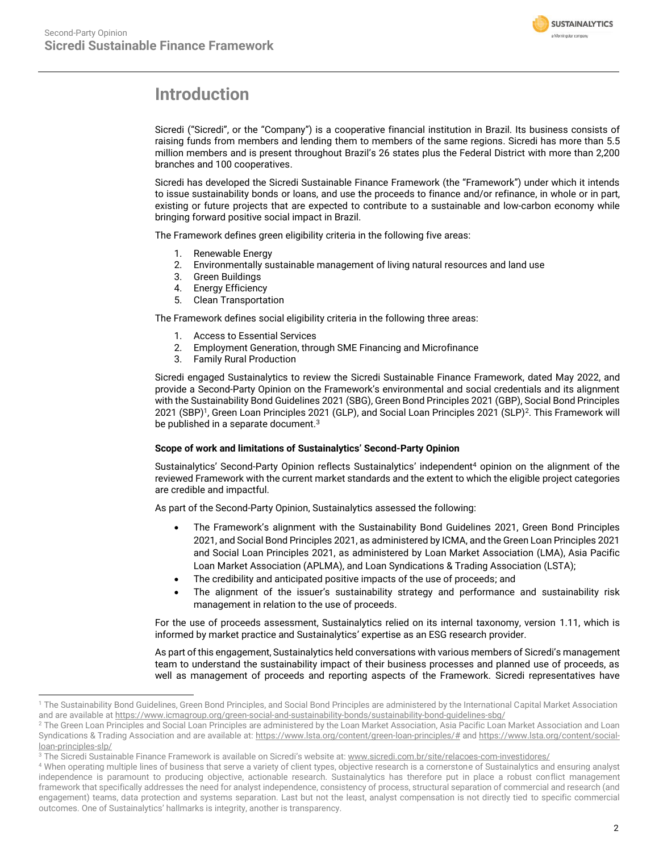

## <span id="page-1-0"></span>**Introduction**

Sicredi ("Sicredi", or the "Company") is a cooperative financial institution in Brazil. Its business consists of raising funds from members and lending them to members of the same regions. Sicredi has more than 5.5 million members and is present throughout Brazil's 26 states plus the Federal District with more than 2,200 branches and 100 cooperatives.

Sicredi has developed the Sicredi Sustainable Finance Framework (the "Framework") under which it intends to issue sustainability bonds or loans, and use the proceeds to finance and/or refinance, in whole or in part, existing or future projects that are expected to contribute to a sustainable and low-carbon economy while bringing forward positive social impact in Brazil.

The Framework defines green eligibility criteria in the following five areas:

- 1. Renewable Energy
- 2. Environmentally sustainable management of living natural resources and land use
- 3. Green Buildings
- 4. Energy Efficiency
- 5. Clean Transportation

The Framework defines social eligibility criteria in the following three areas:

- 1. Access to Essential Services
- 2. Employment Generation, through SME Financing and Microfinance
- 3. Family Rural Production

Sicredi engaged Sustainalytics to review the Sicredi Sustainable Finance Framework, dated May 2022, and provide a Second-Party Opinion on the Framework's environmental and social credentials and its alignment with the Sustainability Bond Guidelines 2021 (SBG), Green Bond Principles 2021 (GBP), Social Bond Principles 2021 (SBP)<sup>1</sup>, Green Loan Principles 2021 (GLP), and Social Loan Principles 2021 (SLP)<sup>2</sup>. This Framework will be published in a separate document.<sup>3</sup>

### **Scope of work and limitations of Sustainalytics' Second-Party Opinion**

Sustainalytics' Second-Party Opinion reflects Sustainalytics' independent<sup>4</sup> opinion on the alignment of the reviewed Framework with the current market standards and the extent to which the eligible project categories are credible and impactful.

As part of the Second-Party Opinion, Sustainalytics assessed the following:

- The Framework's alignment with the Sustainability Bond Guidelines 2021, Green Bond Principles 2021, and Social Bond Principles 2021, as administered by ICMA, and the Green Loan Principles 2021 and Social Loan Principles 2021, as administered by Loan Market Association (LMA), Asia Pacific Loan Market Association (APLMA), and Loan Syndications & Trading Association (LSTA);
- The credibility and anticipated positive impacts of the use of proceeds; and
- The alignment of the issuer's sustainability strategy and performance and sustainability risk management in relation to the use of proceeds.

For the use of proceeds assessment, Sustainalytics relied on its internal taxonomy, version 1.11, which is informed by market practice and Sustainalytics' expertise as an ESG research provider.

As part of this engagement, Sustainalytics held conversations with various members of Sicredi's management team to understand the sustainability impact of their business processes and planned use of proceeds, as well as management of proceeds and reporting aspects of the Framework. Sicredi representatives have

<sup>&</sup>lt;sup>1</sup> The Sustainability Bond Guidelines, Green Bond Principles, and Social Bond Principles are administered by the International Capital Market Association and are available a[t https://www.icmagroup.org/green-social-and-sustainability-bonds/sustainability-bond-guidelines-sbg/](https://www.icmagroup.org/green-social-and-sustainability-bonds/sustainability-bond-guidelines-sbg/)

<sup>&</sup>lt;sup>2</sup> The Green Loan Principles and Social Loan Principles are administered by the Loan Market Association, Asia Pacific Loan Market Association and Loan Syndications & Trading Association and are available at[: https://www.lsta.org/content/green-loan-principles/#](https://www.lsta.org/content/green-loan-principles/) an[d https://www.lsta.org/content/social](https://www.lsta.org/content/social-loan-principles-slp/)[loan-principles-slp/](https://www.lsta.org/content/social-loan-principles-slp/)

<sup>&</sup>lt;sup>3</sup> The Sicredi Sustainable Finance Framework is available on Sicredi's website at[: www.sicredi.com.br/site/relacoes-com-investidores/](http://www.sicredi.com.br/site/relacoes-com-investidores/)

<sup>4</sup> When operating multiple lines of business that serve a variety of client types, objective research is a cornerstone of Sustainalytics and ensuring analyst independence is paramount to producing objective, actionable research. Sustainalytics has therefore put in place a robust conflict management framework that specifically addresses the need for analyst independence, consistency of process, structural separation of commercial and research (and engagement) teams, data protection and systems separation. Last but not the least, analyst compensation is not directly tied to specific commercial outcomes. One of Sustainalytics' hallmarks is integrity, another is transparency.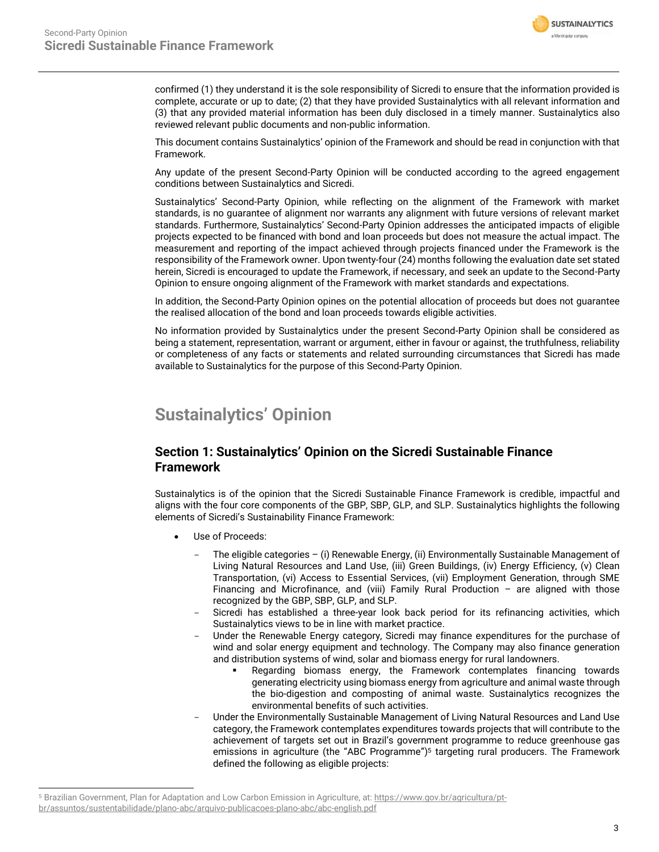

confirmed (1) they understand it is the sole responsibility of Sicredi to ensure that the information provided is complete, accurate or up to date; (2) that they have provided Sustainalytics with all relevant information and (3) that any provided material information has been duly disclosed in a timely manner. Sustainalytics also reviewed relevant public documents and non-public information.

This document contains Sustainalytics' opinion of the Framework and should be read in conjunction with that Framework.

Any update of the present Second-Party Opinion will be conducted according to the agreed engagement conditions between Sustainalytics and Sicredi.

Sustainalytics' Second-Party Opinion, while reflecting on the alignment of the Framework with market standards, is no guarantee of alignment nor warrants any alignment with future versions of relevant market standards. Furthermore, Sustainalytics' Second-Party Opinion addresses the anticipated impacts of eligible projects expected to be financed with bond and loan proceeds but does not measure the actual impact. The measurement and reporting of the impact achieved through projects financed under the Framework is the responsibility of the Framework owner. Upon twenty-four (24) months following the evaluation date set stated herein, Sicredi is encouraged to update the Framework, if necessary, and seek an update to the Second-Party Opinion to ensure ongoing alignment of the Framework with market standards and expectations.

In addition, the Second-Party Opinion opines on the potential allocation of proceeds but does not guarantee the realised allocation of the bond and loan proceeds towards eligible activities.

No information provided by Sustainalytics under the present Second-Party Opinion shall be considered as being a statement, representation, warrant or argument, either in favour or against, the truthfulness, reliability or completeness of any facts or statements and related surrounding circumstances that Sicredi has made available to Sustainalytics for the purpose of this Second-Party Opinion.

## <span id="page-2-0"></span>**Sustainalytics' Opinion**

### **Section 1: Sustainalytics' Opinion on the Sicredi Sustainable Finance Framework**

Sustainalytics is of the opinion that the Sicredi Sustainable Finance Framework is credible, impactful and aligns with the four core components of the GBP, SBP, GLP, and SLP. Sustainalytics highlights the following elements of Sicredi's Sustainability Finance Framework:

- Use of Proceeds:
	- The eligible categories (i) Renewable Energy, (ii) Environmentally Sustainable Management of Living Natural Resources and Land Use, (iii) Green Buildings, (iv) Energy Efficiency, (v) Clean Transportation, (vi) Access to Essential Services, (vii) Employment Generation, through SME Financing and Microfinance, and (viii) Family Rural Production  $-$  are aligned with those recognized by the GBP, SBP, GLP, and SLP.
	- Sicredi has established a three-year look back period for its refinancing activities, which Sustainalytics views to be in line with market practice.
	- Under the Renewable Energy category, Sicredi may finance expenditures for the purchase of wind and solar energy equipment and technology. The Company may also finance generation and distribution systems of wind, solar and biomass energy for rural landowners.
		- Regarding biomass energy, the Framework contemplates financing towards generating electricity using biomass energy from agriculture and animal waste through the bio-digestion and composting of animal waste. Sustainalytics recognizes the environmental benefits of such activities.
	- Under the Environmentally Sustainable Management of Living Natural Resources and Land Use category, the Framework contemplates expenditures towards projects that will contribute to the achievement of targets set out in Brazil's government programme to reduce greenhouse gas emissions in agriculture (the "ABC Programme") <sup>5</sup> targeting rural producers. The Framework defined the following as eligible projects:

<sup>5</sup> Brazilian Government, Plan for Adaptation and Low Carbon Emission in Agriculture, at[: https://www.gov.br/agricultura/pt](https://www.gov.br/agricultura/pt-br/assuntos/sustentabilidade/plano-abc/arquivo-publicacoes-plano-abc/abc-english.pdf)[br/assuntos/sustentabilidade/plano-abc/arquivo-publicacoes-plano-abc/abc-english.pdf](https://www.gov.br/agricultura/pt-br/assuntos/sustentabilidade/plano-abc/arquivo-publicacoes-plano-abc/abc-english.pdf)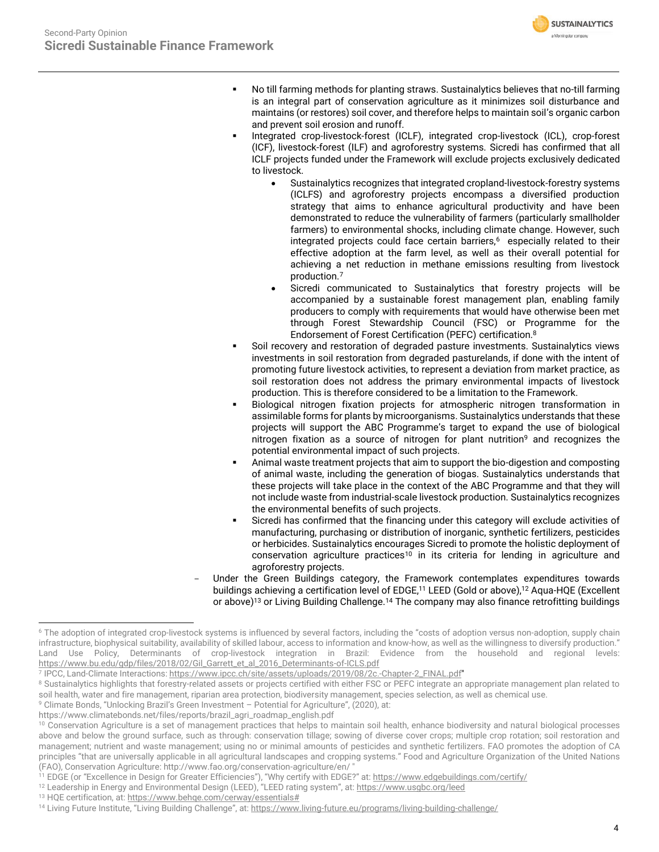

- No till farming methods for planting straws. Sustainalytics believes that no-till farming is an integral part of conservation agriculture as it minimizes soil disturbance and maintains (or restores) soil cover, and therefore helps to maintain soil's organic carbon and prevent soil erosion and runoff.
- Integrated crop-livestock-forest (ICLF), integrated crop-livestock (ICL), crop-forest (ICF), livestock-forest (ILF) and agroforestry systems. Sicredi has confirmed that all ICLF projects funded under the Framework will exclude projects exclusively dedicated to livestock.
	- Sustainalytics recognizes that integrated cropland-livestock-forestry systems (ICLFS) and agroforestry projects encompass a diversified production strategy that aims to enhance agricultural productivity and have been demonstrated to reduce the vulnerability of farmers (particularly smallholder farmers) to environmental shocks, including climate change. However, such integrated projects could face certain barriers, $6$  especially related to their effective adoption at the farm level, as well as their overall potential for achieving a net reduction in methane emissions resulting from livestock production.<sup>7</sup>
	- Sicredi communicated to Sustainalytics that forestry projects will be accompanied by a sustainable forest management plan, enabling family producers to comply with requirements that would have otherwise been met through Forest Stewardship Council (FSC) or Programme for the Endorsement of Forest Certification (PEFC) certification.<sup>8</sup>
- Soil recovery and restoration of degraded pasture investments. Sustainalytics views investments in soil restoration from degraded pasturelands, if done with the intent of promoting future livestock activities, to represent a deviation from market practice, as soil restoration does not address the primary environmental impacts of livestock production. This is therefore considered to be a limitation to the Framework.
- Biological nitrogen fixation projects for atmospheric nitrogen transformation in assimilable forms for plants by microorganisms. Sustainalytics understands that these projects will support the ABC Programme's target to expand the use of biological nitrogen fixation as a source of nitrogen for plant nutrition<sup>9</sup> and recognizes the potential environmental impact of such projects.
- Animal waste treatment projects that aim to support the bio-digestion and composting of animal waste, including the generation of biogas. Sustainalytics understands that these projects will take place in the context of the ABC Programme and that they will not include waste from industrial-scale livestock production. Sustainalytics recognizes the environmental benefits of such projects.
- Sicredi has confirmed that the financing under this category will exclude activities of manufacturing, purchasing or distribution of inorganic, synthetic fertilizers, pesticides or herbicides. Sustainalytics encourages Sicredi to promote the holistic deployment of conservation agriculture practices<sup>10</sup> in its criteria for lending in agriculture and agroforestry projects.
- Under the Green Buildings category, the Framework contemplates expenditures towards buildings achieving a certification level of EDGE, <sup>11</sup> LEED (Gold or above),<sup>12</sup> Aqua-HQE (Excellent or above)<sup>13</sup> or Living Building Challenge.<sup>14</sup> The company may also finance retrofitting buildings

<sup>13</sup> HQE certification, at[: https://www.behqe.com/cerway/essentials#](https://www.behqe.com/cerway/essentials) 

<sup>&</sup>lt;sup>6</sup> The adoption of integrated crop-livestock systems is influenced by several factors, including the "costs of adoption versus non-adoption, supply chain infrastructure, biophysical suitability, availability of skilled labour, access to information and know-how, as well as the willingness to diversify production." Land Use Policy, Determinants of crop-livestock integration in Brazil: Evidence from the household and regional levels: [https://www.bu.edu/gdp/files/2018/02/Gil\\_Garrett\\_et\\_al\\_2016\\_Determinants-of-ICLS.pdf](https://www.bu.edu/gdp/files/2018/02/Gil_Garrett_et_al_2016_Determinants-of-ICLS.pdf)

<sup>7</sup> IPCC, Land-Climate Interactions[: https://www.ipcc.ch/site/assets/uploads/2019/08/2c.-Chapter-2\\_FINAL.pdf"](https://www.ipcc.ch/site/assets/uploads/2019/08/2c.-Chapter-2_FINAL.pdf)

<sup>&</sup>lt;sup>8</sup> Sustainalytics highlights that forestry-related assets or projects certified with either FSC or PEFC integrate an appropriate management plan related to soil health, water and fire management, riparian area protection, biodiversity management, species selection, as well as chemical use. <sup>9</sup> Climate Bonds, "Unlocking Brazil's Green Investment - Potential for Agriculture", (2020), at:

https://www.climatebonds.net/files/reports/brazil\_agri\_roadmap\_english.pdf

<sup>&</sup>lt;sup>10</sup> Conservation Agriculture is a set of management practices that helps to maintain soil health, enhance biodiversity and natural biological processes above and below the ground surface, such as through: conservation tillage; sowing of diverse cover crops; multiple crop rotation; soil restoration and management; nutrient and waste management; using no or minimal amounts of pesticides and synthetic fertilizers. FAO promotes the adoption of CA principles "that are universally applicable in all agricultural landscapes and cropping systems." Food and Agriculture Organization of the United Nations (FAO), Conservation Agriculture: http://www.fao.org/conservation-agriculture/en/ "

<sup>&</sup>lt;sup>11</sup> EDGE (or "Excellence in Design for Greater Efficiencies"), "Why certify with EDGE?" at: <https://www.edgebuildings.com/certify/>

<sup>12</sup> Leadership in Energy and Environmental Design (LEED), "LEED rating system", at[: https://www.usgbc.org/leed](https://www.usgbc.org/leed)

<sup>14</sup> Living Future Institute, "Living Building Challenge", at: <https://www.living-future.eu/programs/living-building-challenge/>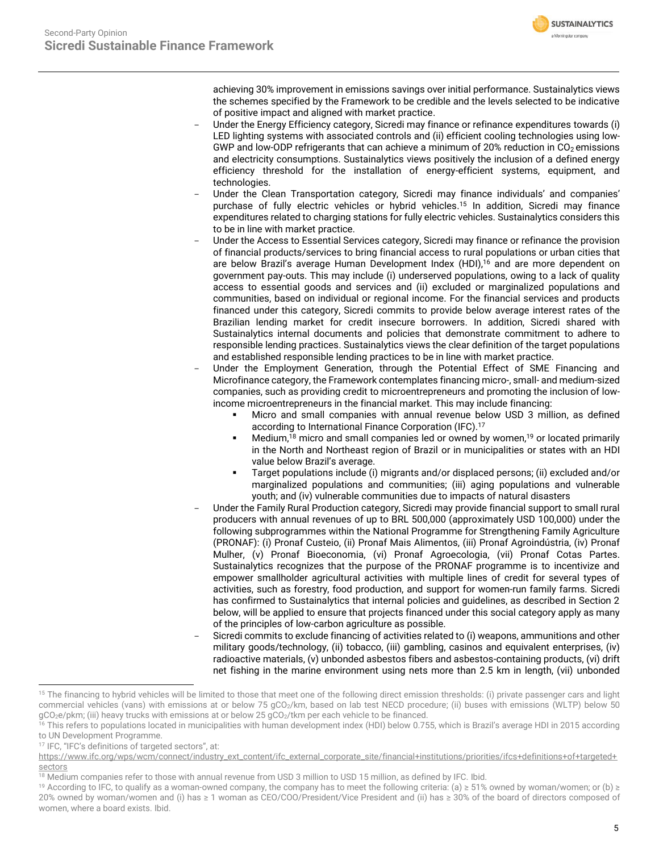**SUSTAINALYTICS** a Morningstar company

achieving 30% improvement in emissions savings over initial performance. Sustainalytics views the schemes specified by the Framework to be credible and the levels selected to be indicative of positive impact and aligned with market practice.

- Under the Energy Efficiency category, Sicredi may finance or refinance expenditures towards (i) LED lighting systems with associated controls and (ii) efficient cooling technologies using low-GWP and low-ODP refrigerants that can achieve a minimum of 20% reduction in  $CO<sub>2</sub>$  emissions and electricity consumptions. Sustainalytics views positively the inclusion of a defined energy efficiency threshold for the installation of energy-efficient systems, equipment, and technologies.
- Under the Clean Transportation category, Sicredi may finance individuals' and companies' purchase of fully electric vehicles or hybrid vehicles. <sup>15</sup> In addition, Sicredi may finance expenditures related to charging stations for fully electric vehicles. Sustainalytics considers this to be in line with market practice.
- Under the Access to Essential Services category, Sicredi may finance or refinance the provision of financial products/services to bring financial access to rural populations or urban cities that are below Brazil's average Human Development Index (HDI), <sup>16</sup> and are more dependent on government pay-outs. This may include (i) underserved populations, owing to a lack of quality access to essential goods and services and (ii) excluded or marginalized populations and communities, based on individual or regional income. For the financial services and products financed under this category, Sicredi commits to provide below average interest rates of the Brazilian lending market for credit insecure borrowers. In addition, Sicredi shared with Sustainalytics internal documents and policies that demonstrate commitment to adhere to responsible lending practices. Sustainalytics views the clear definition of the target populations and established responsible lending practices to be in line with market practice.
- Under the Employment Generation, through the Potential Effect of SME Financing and Microfinance category, the Framework contemplates financing micro-, small- and medium-sized companies, such as providing credit to microentrepreneurs and promoting the inclusion of lowincome microentrepreneurs in the financial market. This may include financing:
	- Micro and small companies with annual revenue below USD 3 million, as defined according to International Finance Corporation (IFC). 17
	- **■** Medium,<sup>18</sup> micro and small companies led or owned by women,<sup>19</sup> or located primarily in the North and Northeast region of Brazil or in municipalities or states with an HDI value below Brazil's average.
	- Target populations include (i) migrants and/or displaced persons; (ii) excluded and/or marginalized populations and communities; (iii) aging populations and vulnerable youth; and (iv) vulnerable communities due to impacts of natural disasters
- Under the Family Rural Production category, Sicredi may provide financial support to small rural producers with annual revenues of up to BRL 500,000 (approximately USD 100,000) under the following subprogrammes within the National Programme for Strengthening Family Agriculture (PRONAF): (i) Pronaf Custeio, (ii) Pronaf Mais Alimentos, (iii) Pronaf Agroindústria, (iv) Pronaf Mulher, (v) Pronaf Bioeconomia, (vi) Pronaf Agroecologia, (vii) Pronaf Cotas Partes. Sustainalytics recognizes that the purpose of the PRONAF programme is to incentivize and empower smallholder agricultural activities with multiple lines of credit for several types of activities, such as forestry, food production, and support for women-run family farms. Sicredi has confirmed to Sustainalytics that internal policies and guidelines, as described in Section 2 below, will be applied to ensure that projects financed under this social category apply as many of the principles of low-carbon agriculture as possible.
- Sicredi commits to exclude financing of activities related to (i) weapons, ammunitions and other military goods/technology, (ii) tobacco, (iii) gambling, casinos and equivalent enterprises, (iv) radioactive materials, (v) unbonded asbestos fibers and asbestos-containing products, (vi) drift net fishing in the marine environment using nets more than 2.5 km in length, (vii) unbonded

<sup>17</sup> IFC, "IFC's definitions of targeted sectors", at:

<sup>&</sup>lt;sup>15</sup> The financing to hybrid vehicles will be limited to those that meet one of the following direct emission thresholds: (i) private passenger cars and light commercial vehicles (vans) with emissions at or below 75 gCO<sub>2</sub>/km, based on lab test NECD procedure; (ii) buses with emissions (WLTP) below 50 gCO<sub>2</sub>e/pkm; (iii) heavy trucks with emissions at or below 25 gCO<sub>2</sub>/tkm per each vehicle to be financed.

<sup>&</sup>lt;sup>16</sup> This refers to populations located in municipalities with human development index (HDI) below 0.755, which is Brazil's average HDI in 2015 according to UN Development Programme.

[https://www.ifc.org/wps/wcm/connect/industry\\_ext\\_content/ifc\\_external\\_corporate\\_site/financial+institutions/priorities/ifcs+definitions+of+targeted+](https://www.ifc.org/wps/wcm/connect/industry_ext_content/ifc_external_corporate_site/financial+institutions/priorities/ifcs+definitions+of+targeted+sectors) [sectors](https://www.ifc.org/wps/wcm/connect/industry_ext_content/ifc_external_corporate_site/financial+institutions/priorities/ifcs+definitions+of+targeted+sectors)

<sup>&</sup>lt;sup>18</sup> Medium companies refer to those with annual revenue from USD 3 million to USD 15 million, as defined by IFC. Ibid.

<sup>&</sup>lt;sup>19</sup> According to IFC, to qualify as a woman-owned company, the company has to meet the following criteria: (a) ≥ 51% owned by woman/women; or (b) ≥ 20% owned by woman/women and (i) has ≥ 1 woman as CEO/COO/President/Vice President and (ii) has ≥ 30% of the board of directors composed of women, where a board exists. Ibid.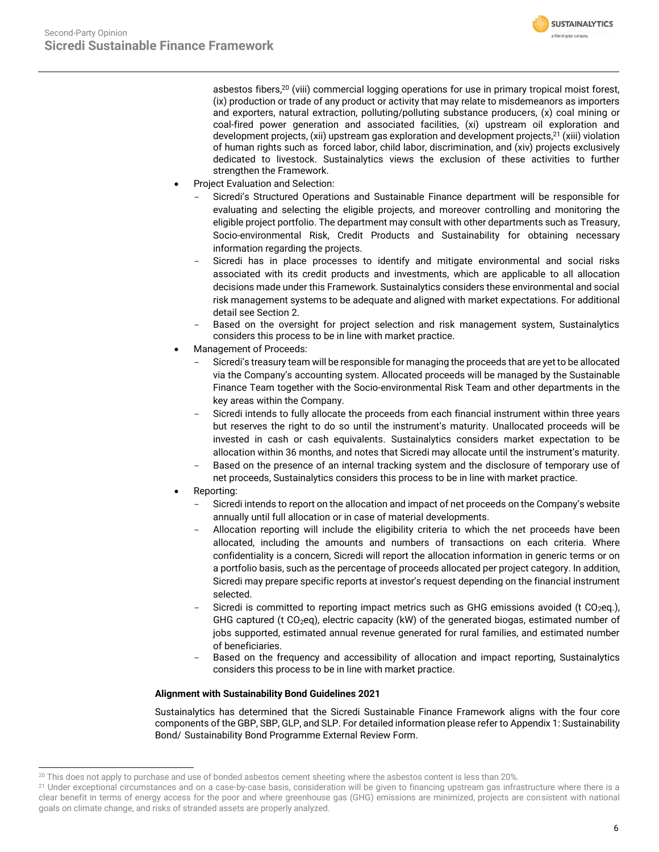

asbestos fibers, <sup>20</sup> (viii) commercial logging operations for use in primary tropical moist forest, (ix) production or trade of any product or activity that may relate to misdemeanors as importers and exporters, natural extraction, polluting/polluting substance producers, (x) coal mining or coal-fired power generation and associated facilities, (xi) upstream oil exploration and development projects, (xii) upstream gas exploration and development projects, <sup>21</sup> (xiii) violation of human rights such as forced labor, child labor, discrimination, and (xiv) projects exclusively dedicated to livestock. Sustainalytics views the exclusion of these activities to further strengthen the Framework.

- Project Evaluation and Selection:
	- Sicredi's Structured Operations and Sustainable Finance department will be responsible for evaluating and selecting the eligible projects, and moreover controlling and monitoring the eligible project portfolio. The department may consult with other departments such as Treasury, Socio-environmental Risk, Credit Products and Sustainability for obtaining necessary information regarding the projects.
	- Sicredi has in place processes to identify and mitigate environmental and social risks associated with its credit products and investments, which are applicable to all allocation decisions made under this Framework. Sustainalytics considers these environmental and social risk management systems to be adequate and aligned with market expectations. For additional detail see Section 2.
	- Based on the oversight for project selection and risk management system, Sustainalytics considers this process to be in line with market practice.
- Management of Proceeds:
	- Sicredi's treasury team will be responsible for managing the proceeds that are yet to be allocated via the Company's accounting system. Allocated proceeds will be managed by the Sustainable Finance Team together with the Socio-environmental Risk Team and other departments in the key areas within the Company.
	- Sicredi intends to fully allocate the proceeds from each financial instrument within three years but reserves the right to do so until the instrument's maturity. Unallocated proceeds will be invested in cash or cash equivalents. Sustainalytics considers market expectation to be allocation within 36 months, and notes that Sicredi may allocate until the instrument's maturity.
	- Based on the presence of an internal tracking system and the disclosure of temporary use of net proceeds, Sustainalytics considers this process to be in line with market practice.
- Reporting:
	- Sicredi intends to report on the allocation and impact of net proceeds on the Company's website annually until full allocation or in case of material developments.
	- Allocation reporting will include the eligibility criteria to which the net proceeds have been allocated, including the amounts and numbers of transactions on each criteria. Where confidentiality is a concern, Sicredi will report the allocation information in generic terms or on a portfolio basis, such as the percentage of proceeds allocated per project category. In addition, Sicredi may prepare specific reports at investor's request depending on the financial instrument selected.
	- Sicredi is committed to reporting impact metrics such as GHG emissions avoided (t  $CO<sub>2</sub>$ eq.), GHG captured (t CO<sub>2</sub>eq), electric capacity (kW) of the generated biogas, estimated number of jobs supported, estimated annual revenue generated for rural families, and estimated number of beneficiaries.
	- Based on the frequency and accessibility of allocation and impact reporting, Sustainalytics considers this process to be in line with market practice.

### **Alignment with Sustainability Bond Guidelines 2021**

Sustainalytics has determined that the Sicredi Sustainable Finance Framework aligns with the four core components of the GBP, SBP, GLP, and SLP. For detailed information please refer to Appendix 1: Sustainability Bond/ Sustainability Bond Programme External Review Form.

<sup>&</sup>lt;sup>20</sup> This does not apply to purchase and use of bonded asbestos cement sheeting where the asbestos content is less than 20%.

<sup>&</sup>lt;sup>21</sup> Under exceptional circumstances and on a case-by-case basis, consideration will be given to financing upstream gas infrastructure where there is a clear benefit in terms of energy access for the poor and where greenhouse gas (GHG) emissions are minimized, projects are consistent with national goals on climate change, and risks of stranded assets are properly analyzed.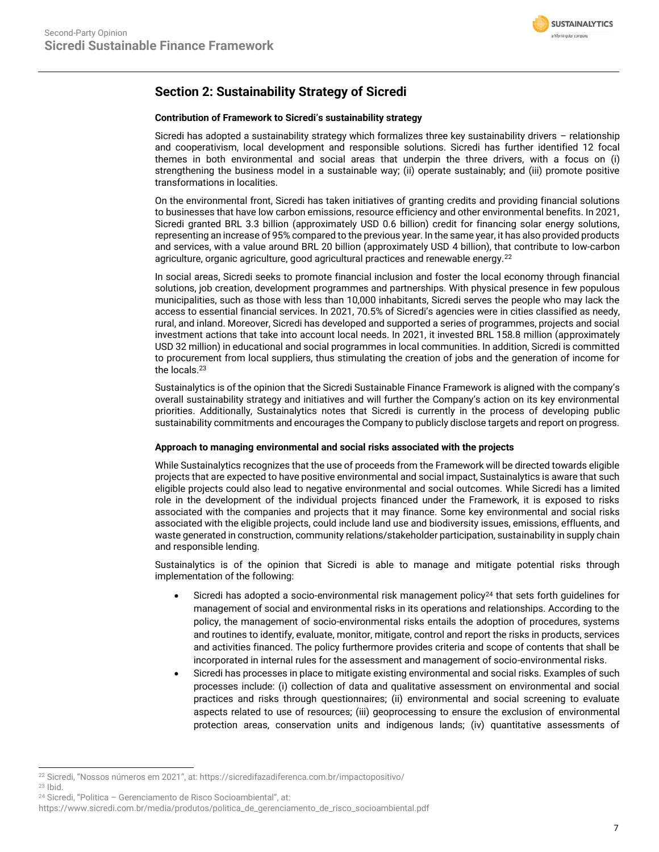

### **Section 2: Sustainability Strategy of Sicredi**

### **Contribution of Framework to Sicredi's sustainability strategy**

Sicredi has adopted a sustainability strategy which formalizes three key sustainability drivers – relationship and cooperativism, local development and responsible solutions. Sicredi has further identified 12 focal themes in both environmental and social areas that underpin the three drivers, with a focus on (i) strengthening the business model in a sustainable way; (ii) operate sustainably; and (iii) promote positive transformations in localities.

On the environmental front, Sicredi has taken initiatives of granting credits and providing financial solutions to businesses that have low carbon emissions, resource efficiency and other environmental benefits. In 2021, Sicredi granted BRL 3.3 billion (approximately USD 0.6 billion) credit for financing solar energy solutions, representing an increase of 95% compared to the previous year. In the same year, it has also provided products and services, with a value around BRL 20 billion (approximately USD 4 billion), that contribute to low-carbon agriculture, organic agriculture, good agricultural practices and renewable energy.<sup>22</sup>

In social areas, Sicredi seeks to promote financial inclusion and foster the local economy through financial solutions, job creation, development programmes and partnerships. With physical presence in few populous municipalities, such as those with less than 10,000 inhabitants, Sicredi serves the people who may lack the access to essential financial services. In 2021, 70.5% of Sicredi's agencies were in cities classified as needy, rural, and inland. Moreover, Sicredi has developed and supported a series of programmes, projects and social investment actions that take into account local needs. In 2021, it invested BRL 158.8 million (approximately USD 32 million) in educational and social programmes in local communities. In addition, Sicredi is committed to procurement from local suppliers, thus stimulating the creation of jobs and the generation of income for the locals.<sup>23</sup>

Sustainalytics is of the opinion that the Sicredi Sustainable Finance Framework is aligned with the company's overall sustainability strategy and initiatives and will further the Company's action on its key environmental priorities. Additionally, Sustainalytics notes that Sicredi is currently in the process of developing public sustainability commitments and encourages the Company to publicly disclose targets and report on progress.

### **Approach to managing environmental and social risks associated with the projects**

While Sustainalytics recognizes that the use of proceeds from the Framework will be directed towards eligible projects that are expected to have positive environmental and social impact, Sustainalytics is aware that such eligible projects could also lead to negative environmental and social outcomes. While Sicredi has a limited role in the development of the individual projects financed under the Framework, it is exposed to risks associated with the companies and projects that it may finance. Some key environmental and social risks associated with the eligible projects, could include land use and biodiversity issues, emissions, effluents, and waste generated in construction, community relations/stakeholder participation, sustainability in supply chain and responsible lending.

Sustainalytics is of the opinion that Sicredi is able to manage and mitigate potential risks through implementation of the following:

- Sicredi has adopted a socio-environmental risk management policy<sup>24</sup> that sets forth guidelines for management of social and environmental risks in its operations and relationships. According to the policy, the management of socio-environmental risks entails the adoption of procedures, systems and routines to identify, evaluate, monitor, mitigate, control and report the risks in products, services and activities financed. The policy furthermore provides criteria and scope of contents that shall be incorporated in internal rules for the assessment and management of socio-environmental risks.
- Sicredi has processes in place to mitigate existing environmental and social risks. Examples of such processes include: (i) collection of data and qualitative assessment on environmental and social practices and risks through questionnaires; (ii) environmental and social screening to evaluate aspects related to use of resources; (iii) geoprocessing to ensure the exclusion of environmental protection areas, conservation units and indigenous lands; (iv) quantitative assessments of

<sup>22</sup> Sicredi, "Nossos números em 2021", at: https://sicredifazadiferenca.com.br/impactopositivo/

<sup>23</sup> Ibid.

<sup>24</sup> Sicredi, "Politica – Gerenciamento de Risco Socioambiental", at:

https://www.sicredi.com.br/media/produtos/politica\_de\_gerenciamento\_de\_risco\_socioambiental.pdf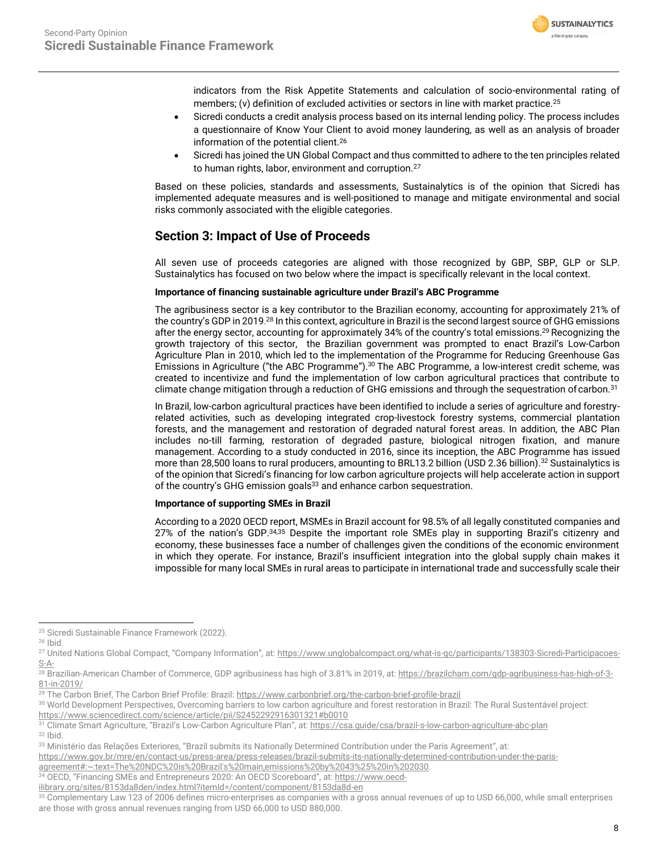

indicators from the Risk Appetite Statements and calculation of socio-environmental rating of members; (v) definition of excluded activities or sectors in line with market practice.<sup>25</sup>

- Sicredi conducts a credit analysis process based on its internal lending policy. The process includes a questionnaire of Know Your Client to avoid money laundering, as well as an analysis of broader information of the potential client.<sup>26</sup>
- Sicredi has joined the UN Global Compact and thus committed to adhere to the ten principles related to human rights, labor, environment and corruption.<sup>27</sup>

Based on these policies, standards and assessments, Sustainalytics is of the opinion that Sicredi has implemented adequate measures and is well-positioned to manage and mitigate environmental and social risks commonly associated with the eligible categories.

### **Section 3: Impact of Use of Proceeds**

All seven use of proceeds categories are aligned with those recognized by GBP, SBP, GLP or SLP. Sustainalytics has focused on two below where the impact is specifically relevant in the local context.

### **Importance of financing sustainable agriculture under Brazil's ABC Programme**

The agribusiness sector is a key contributor to the Brazilian economy, accounting for approximately 21% of the country's GDP in 2019.<sup>28</sup> In this context, agriculture in Brazil is the second largest source of GHG emissions after the energy sector, accounting for approximately 34% of the country's total emissions.<sup>29</sup> Recognizing the growth trajectory of this sector, the Brazilian government was prompted to enact Brazil's Low-Carbon Agriculture Plan in 2010, which led to the implementation of the Programme for Reducing Greenhouse Gas Emissions in Agriculture ("the ABC Programme").<sup>30</sup> The ABC Programme, a low-interest credit scheme, was created to incentivize and fund the implementation of low carbon agricultural practices that contribute to climate change mitigation through a reduction of GHG emissions and through the sequestration of carbon.<sup>31</sup>

In Brazil, low-carbon agricultural practices have been identified to include a series of agriculture and forestryrelated activities, such as developing integrated crop-livestock forestry systems, commercial plantation forests, and the management and restoration of degraded natural forest areas. In addition, the ABC Plan includes no-till farming, restoration of degraded pasture, biological nitrogen fixation, and manure management. According to a study conducted in 2016, since its inception, the ABC Programme has issued more than 28,500 loans to rural producers, amounting to BRL13.2 billion (USD 2.36 billion). <sup>32</sup> Sustainalytics is of the opinion that Sicredi's financing for low carbon agriculture projects will help accelerate action in support of the country's GHG emission goals<sup>33</sup> and enhance carbon sequestration.

### **Importance of supporting SMEs in Brazil**

According to a 2020 OECD report, MSMEs in Brazil account for 98.5% of all legally constituted companies and 27% of the nation's GDP.34,35 Despite the important role SMEs play in supporting Brazil's citizenry and economy, these businesses face a number of challenges given the conditions of the economic environment in which they operate. For instance, Brazil's insufficient integration into the global supply chain makes it impossible for many local SMEs in rural areas to participate in international trade and successfully scale their

<sup>&</sup>lt;sup>25</sup> Sicredi Sustainable Finance Framework (2022).

<sup>26</sup> Ibid.

<sup>27</sup> United Nations Global Compact, "Company Information", at: [https://www.unglobalcompact.org/what-is-gc/participants/138303-Sicredi-Participacoes-](https://www.unglobalcompact.org/what-is-gc/participants/138303-Sicredi-Participacoes-S-A-)[S-A-](https://www.unglobalcompact.org/what-is-gc/participants/138303-Sicredi-Participacoes-S-A-)

<sup>28</sup> Brazilian-American Chamber of Commerce, GDP agribusiness has high of 3.81% in 2019, at[: https://brazilcham.com/gdp-agribusiness-has-high-of-3-](https://brazilcham.com/gdp-agribusiness-has-high-of-3-81-in-2019/) [81-in-2019/](https://brazilcham.com/gdp-agribusiness-has-high-of-3-81-in-2019/)

<sup>&</sup>lt;sup>29</sup> The Carbon Brief, The Carbon Brief Profile: Brazil[: https://www.carbonbrief.org/the-carbon-brief-profile-brazil](https://www.carbonbrief.org/the-carbon-brief-profile-brazil)

<sup>&</sup>lt;sup>30</sup> World Development Perspectives, Overcoming barriers to low carbon agriculture and forest restoration in Brazil: The Rural Sustentável project: <https://www.sciencedirect.com/science/article/pii/S2452292916301321#b0010>

<sup>31</sup> Climate Smart Agriculture, "Brazil's Low-Carbon Agriculture Plan", at: <https://csa.guide/csa/brazil-s-low-carbon-agriculture-abc-plan> <sup>32</sup> Ibid.

<sup>33</sup> Ministério das Relações Exteriores, "Brazil submits its Nationally Determined Contribution under the Paris Agreement", at:

[https://www.gov.br/mre/en/contact-us/press-area/press-releases/brazil-submits-its-nationally-determined-contribution-under-the-paris-](https://www.gov.br/mre/en/contact-us/press-area/press-releases/brazil-submits-its-nationally-determined-contribution-under-the-paris-agreement#:~:text=The%20NDC%20is%20Brazil)

[agreement#:~:text=The%20NDC%20is%20Brazil's%20main,emissions%20by%2043%25%20in%202030.](https://www.gov.br/mre/en/contact-us/press-area/press-releases/brazil-submits-its-nationally-determined-contribution-under-the-paris-agreement#:~:text=The%20NDC%20is%20Brazil)

<sup>34</sup> OECD, "Financing SMEs and Entrepreneurs 2020: An OECD Scoreboard", at: [https://www.oecd-](https://www.oecd-ilibrary.org/sites/8153da8den/index.html?itemId=/content/component/8153da8d-en)

[ilibrary.org/sites/8153da8den/index.html?itemId=/content/component/8153da8d-en](https://www.oecd-ilibrary.org/sites/8153da8den/index.html?itemId=/content/component/8153da8d-en)

<sup>&</sup>lt;sup>35</sup> Complementary Law 123 of 2006 defines micro-enterprises as companies with a gross annual revenues of up to USD 66,000, while small enterprises are those with gross annual revenues ranging from USD 66,000 to USD 880,000.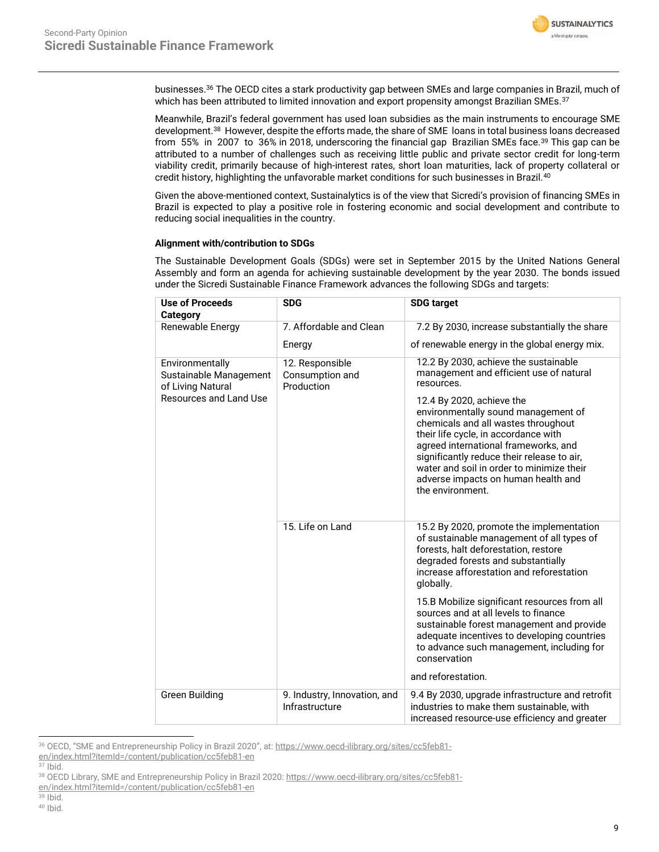

businesses.<sup>36</sup> The OECD cites a stark productivity gap between SMEs and large companies in Brazil, much of which has been attributed to limited innovation and export propensity amongst Brazilian SMEs.<sup>37</sup>

Meanwhile, Brazil's federal government has used loan subsidies as the main instruments to encourage SME development.<sup>38</sup> However, despite the efforts made, the share of SME loans in total business loans decreased from 55% in 2007 to 36% in 2018, underscoring the financial gap Brazilian SMEs face.<sup>39</sup> This gap can be attributed to a number of challenges such as receiving little public and private sector credit for long-term viability credit, primarily because of high-interest rates, short loan maturities, lack of property collateral or credit history, highlighting the unfavorable market conditions for such businesses in Brazil.<sup>40</sup>

Given the above-mentioned context, Sustainalytics is of the view that Sicredi's provision of financing SMEs in Brazil is expected to play a positive role in fostering economic and social development and contribute to reducing social inequalities in the country.

### **Alignment with/contribution to SDGs**

The Sustainable Development Goals (SDGs) were set in September 2015 by the United Nations General Assembly and form an agenda for achieving sustainable development by the year 2030. The bonds issued under the Sicredi Sustainable Finance Framework advances the following SDGs and targets:

| <b>Use of Proceeds</b><br><b>Category</b>                                                | <b>SDG</b>                                       | <b>SDG target</b>                                                                                                                                                                                                                                                                                                                                                                                                                               |
|------------------------------------------------------------------------------------------|--------------------------------------------------|-------------------------------------------------------------------------------------------------------------------------------------------------------------------------------------------------------------------------------------------------------------------------------------------------------------------------------------------------------------------------------------------------------------------------------------------------|
| Renewable Energy                                                                         | 7. Affordable and Clean                          | 7.2 By 2030, increase substantially the share                                                                                                                                                                                                                                                                                                                                                                                                   |
|                                                                                          | Energy                                           | of renewable energy in the global energy mix.                                                                                                                                                                                                                                                                                                                                                                                                   |
| Environmentally<br>Sustainable Management<br>of Living Natural<br>Resources and Land Use | 12. Responsible<br>Consumption and<br>Production | 12.2 By 2030, achieve the sustainable<br>management and efficient use of natural<br>resources.<br>12.4 By 2020, achieve the<br>environmentally sound management of<br>chemicals and all wastes throughout<br>their life cycle, in accordance with<br>agreed international frameworks, and<br>significantly reduce their release to air,<br>water and soil in order to minimize their<br>adverse impacts on human health and<br>the environment. |
|                                                                                          | 15. Life on Land                                 | 15.2 By 2020, promote the implementation<br>of sustainable management of all types of<br>forests, halt deforestation, restore<br>degraded forests and substantially<br>increase afforestation and reforestation<br>globally.                                                                                                                                                                                                                    |
|                                                                                          |                                                  | 15.B Mobilize significant resources from all<br>sources and at all levels to finance<br>sustainable forest management and provide<br>adequate incentives to developing countries<br>to advance such management, including for<br>conservation                                                                                                                                                                                                   |
|                                                                                          |                                                  | and reforestation.                                                                                                                                                                                                                                                                                                                                                                                                                              |
| Green Building                                                                           | 9. Industry, Innovation, and<br>Infrastructure   | 9.4 By 2030, upgrade infrastructure and retrofit<br>industries to make them sustainable, with<br>increased resource-use efficiency and greater                                                                                                                                                                                                                                                                                                  |

<sup>36</sup> OECD, "SME and Entrepreneurship Policy in Brazil 2020", at: [https://www.oecd-ilibrary.org/sites/cc5feb81](https://www.oecd-ilibrary.org/sites/cc5feb81-en/index.html?itemId=/content/publication/cc5feb81-en%20) [en/index.html?itemId=/content/publication/cc5feb81-en](https://www.oecd-ilibrary.org/sites/cc5feb81-en/index.html?itemId=/content/publication/cc5feb81-en%20) 

<sup>37</sup> Ibid.

<sup>39</sup> Ibid.

<sup>38</sup> OECD Library, SME and Entrepreneurship Policy in Brazil 2020: [https://www.oecd-ilibrary.org/sites/cc5feb81-](https://www.oecd-ilibrary.org/sites/cc5feb81-en/index.html?itemId=/content/publication/cc5feb81-en%20%20)

[en/index.html?itemId=/content/publication/cc5feb81-en](https://www.oecd-ilibrary.org/sites/cc5feb81-en/index.html?itemId=/content/publication/cc5feb81-en%20%20)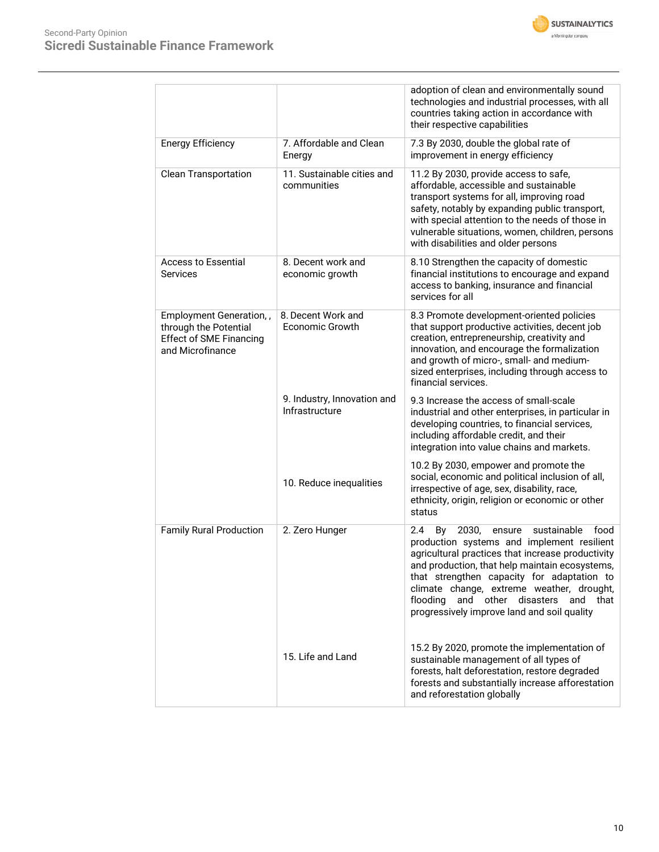



|                                                                                                        |                                               | adoption of clean and environmentally sound<br>technologies and industrial processes, with all<br>countries taking action in accordance with<br>their respective capabilities                                                                                                                                                                                                                        |
|--------------------------------------------------------------------------------------------------------|-----------------------------------------------|------------------------------------------------------------------------------------------------------------------------------------------------------------------------------------------------------------------------------------------------------------------------------------------------------------------------------------------------------------------------------------------------------|
| <b>Energy Efficiency</b>                                                                               | 7. Affordable and Clean<br>Energy             | 7.3 By 2030, double the global rate of<br>improvement in energy efficiency                                                                                                                                                                                                                                                                                                                           |
| <b>Clean Transportation</b>                                                                            | 11. Sustainable cities and<br>communities     | 11.2 By 2030, provide access to safe,<br>affordable, accessible and sustainable<br>transport systems for all, improving road<br>safety, notably by expanding public transport,<br>with special attention to the needs of those in<br>vulnerable situations, women, children, persons<br>with disabilities and older persons                                                                          |
| <b>Access to Essential</b><br><b>Services</b>                                                          | 8. Decent work and<br>economic growth         | 8.10 Strengthen the capacity of domestic<br>financial institutions to encourage and expand<br>access to banking, insurance and financial<br>services for all                                                                                                                                                                                                                                         |
| Employment Generation,,<br>through the Potential<br><b>Effect of SME Financing</b><br>and Microfinance | 8. Decent Work and<br>Economic Growth         | 8.3 Promote development-oriented policies<br>that support productive activities, decent job<br>creation, entrepreneurship, creativity and<br>innovation, and encourage the formalization<br>and growth of micro-, small- and medium-<br>sized enterprises, including through access to<br>financial services.                                                                                        |
|                                                                                                        | 9. Industry, Innovation and<br>Infrastructure | 9.3 Increase the access of small-scale<br>industrial and other enterprises, in particular in<br>developing countries, to financial services,<br>including affordable credit, and their<br>integration into value chains and markets.                                                                                                                                                                 |
|                                                                                                        | 10. Reduce inequalities                       | 10.2 By 2030, empower and promote the<br>social, economic and political inclusion of all,<br>irrespective of age, sex, disability, race,<br>ethnicity, origin, religion or economic or other<br>status                                                                                                                                                                                               |
| <b>Family Rural Production</b>                                                                         | 2. Zero Hunger                                | 2030,<br>sustainable<br>food<br>2.4<br>By<br>ensure<br>production systems and implement resilient<br>agricultural practices that increase productivity<br>and production, that help maintain ecosystems,<br>that strengthen capacity for adaptation to<br>climate change, extreme weather, drought,<br>and other<br>disasters<br>flooding<br>and that<br>progressively improve land and soil quality |
|                                                                                                        | 15. Life and Land                             | 15.2 By 2020, promote the implementation of<br>sustainable management of all types of<br>forests, halt deforestation, restore degraded<br>forests and substantially increase afforestation<br>and reforestation globally                                                                                                                                                                             |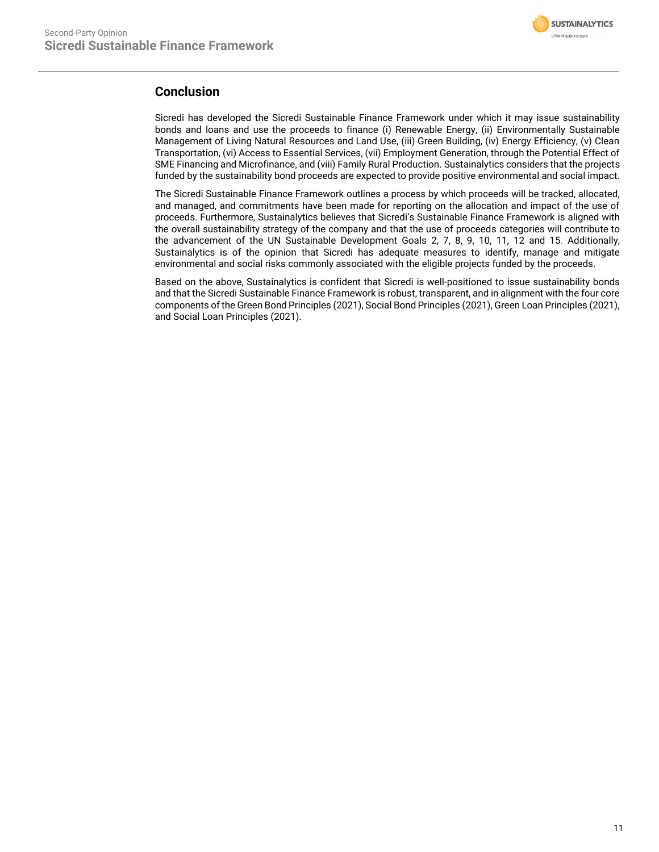

### **Conclusion**

Sicredi has developed the Sicredi Sustainable Finance Framework under which it may issue sustainability bonds and loans and use the proceeds to finance (i) Renewable Energy, (ii) Environmentally Sustainable Management of Living Natural Resources and Land Use, (iii) Green Building, (iv) Energy Efficiency, (v) Clean Transportation, (vi) Access to Essential Services, (vii) Employment Generation, through the Potential Effect of SME Financing and Microfinance, and (viii) Family Rural Production. Sustainalytics considers that the projects funded by the sustainability bond proceeds are expected to provide positive environmental and social impact.

The Sicredi Sustainable Finance Framework outlines a process by which proceeds will be tracked, allocated, and managed, and commitments have been made for reporting on the allocation and impact of the use of proceeds. Furthermore, Sustainalytics believes that Sicredi's Sustainable Finance Framework is aligned with the overall sustainability strategy of the company and that the use of proceeds categories will contribute to the advancement of the UN Sustainable Development Goals 2, 7, 8, 9, 10, 11, 12 and 15. Additionally, Sustainalytics is of the opinion that Sicredi has adequate measures to identify, manage and mitigate environmental and social risks commonly associated with the eligible projects funded by the proceeds.

Based on the above, Sustainalytics is confident that Sicredi is well-positioned to issue sustainability bonds and that the Sicredi Sustainable Finance Framework is robust, transparent, and in alignment with the four core components of the Green Bond Principles (2021), Social Bond Principles (2021), Green Loan Principles (2021), and Social Loan Principles (2021).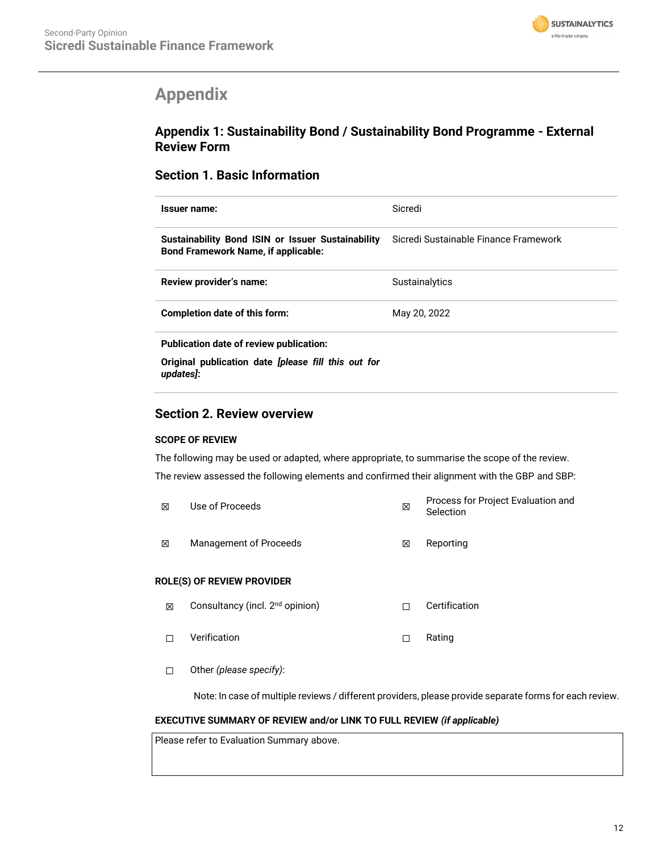

## <span id="page-11-0"></span>**Appendix**

### **Appendix 1: Sustainability Bond / Sustainability Bond Programme - External Review Form**

### **Section 1. Basic Information**

| Issuer name:                                                                                    | Sicredi                               |  |  |
|-------------------------------------------------------------------------------------------------|---------------------------------------|--|--|
| Sustainability Bond ISIN or Issuer Sustainability<br><b>Bond Framework Name, if applicable:</b> | Sicredi Sustainable Finance Framework |  |  |
| Review provider's name:                                                                         | <b>Sustainalytics</b>                 |  |  |
| Completion date of this form:                                                                   | May 20, 2022                          |  |  |
| Publication date of review publication:                                                         |                                       |  |  |
| Original publication date <i>[please fill this out for</i>                                      |                                       |  |  |

*updates]***:** 

### **Section 2. Review overview**

### **SCOPE OF REVIEW**

The following may be used or adapted, where appropriate, to summarise the scope of the review. The review assessed the following elements and confirmed their alignment with the GBP and SBP:

| ⊠ | Use of Proceeds        | ⊠ | Process for Project Evaluation and<br>Selection |
|---|------------------------|---|-------------------------------------------------|
| ⊠ | Management of Proceeds | ⊠ | Reporting                                       |

### **ROLE(S) OF REVIEW PROVIDER**

- **⊠** Consultancy (incl. 2<sup>nd</sup> opinion) □ □ Certification
- ☐ Verification ☐ Rating
- ☐ Other *(please specify)*:

Note: In case of multiple reviews / different providers, please provide separate forms for each review.

### **EXECUTIVE SUMMARY OF REVIEW and/or LINK TO FULL REVIEW** *(if applicable)*

Please refer to Evaluation Summary above.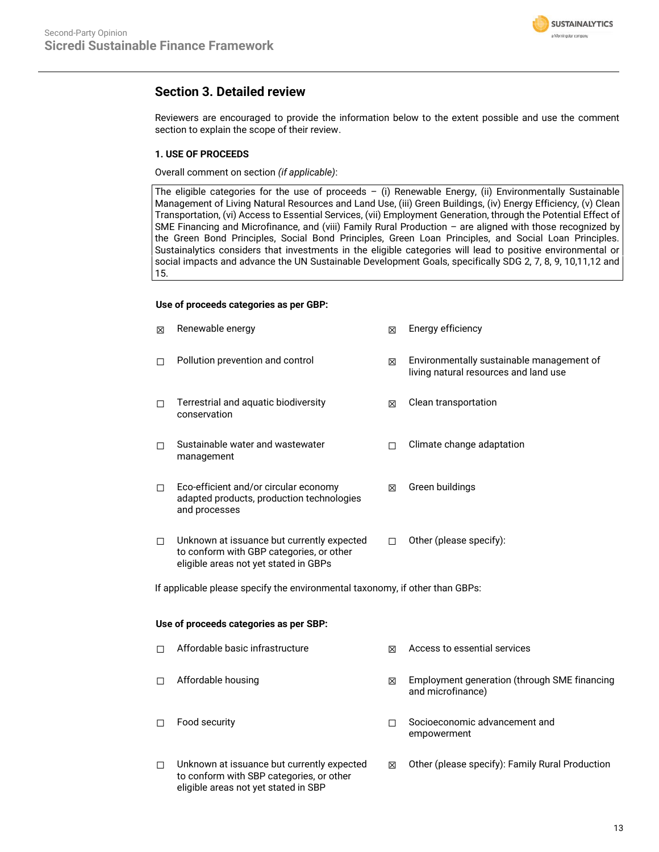

### **Section 3. Detailed review**

Reviewers are encouraged to provide the information below to the extent possible and use the comment section to explain the scope of their review.

### **1. USE OF PROCEEDS**

Overall comment on section *(if applicable)*:

The eligible categories for the use of proceeds  $-$  (i) Renewable Energy, (ii) Environmentally Sustainable Management of Living Natural Resources and Land Use, (iii) Green Buildings, (iv) Energy Efficiency, (v) Clean Transportation, (vi) Access to Essential Services, (vii) Employment Generation, through the Potential Effect of SME Financing and Microfinance, and (viii) Family Rural Production – are aligned with those recognized by the Green Bond Principles, Social Bond Principles, Green Loan Principles, and Social Loan Principles. Sustainalytics considers that investments in the eligible categories will lead to positive environmental or social impacts and advance the UN Sustainable Development Goals, specifically SDG 2, 7, 8, 9, 10,11,12 and 15.

### **Use of proceeds categories as per GBP:**

| X      | Renewable energy                                                                                                                | 区      | Energy efficiency                                                                  |  |  |  |
|--------|---------------------------------------------------------------------------------------------------------------------------------|--------|------------------------------------------------------------------------------------|--|--|--|
| □      | Pollution prevention and control                                                                                                | 図      | Environmentally sustainable management of<br>living natural resources and land use |  |  |  |
| □      | Terrestrial and aquatic biodiversity<br>conservation                                                                            | ⊠      | Clean transportation                                                               |  |  |  |
| □      | Sustainable water and wastewater<br>management                                                                                  | $\Box$ | Climate change adaptation                                                          |  |  |  |
| □      | Eco-efficient and/or circular economy<br>adapted products, production technologies<br>and processes                             | 図      | Green buildings                                                                    |  |  |  |
| □      | Unknown at issuance but currently expected<br>to conform with GBP categories, or other<br>eligible areas not yet stated in GBPs | П      | Other (please specify):                                                            |  |  |  |
|        | If applicable please specify the environmental taxonomy, if other than GBPs:                                                    |        |                                                                                    |  |  |  |
|        | Use of proceeds categories as per SBP:                                                                                          |        |                                                                                    |  |  |  |
| □      | Affordable basic infrastructure                                                                                                 | ⊠      | Access to essential services                                                       |  |  |  |
| □      | Affordable housing                                                                                                              | ⊠      | Employment generation (through SME financing<br>and microfinance)                  |  |  |  |
| $\Box$ | Food security                                                                                                                   | П      | Socioeconomic advancement and<br>empowerment                                       |  |  |  |
| □      | Unknown at issuance but currently expected<br>to conform with SBP categories, or other<br>eligible areas not yet stated in SBP  | 図      | Other (please specify): Family Rural Production                                    |  |  |  |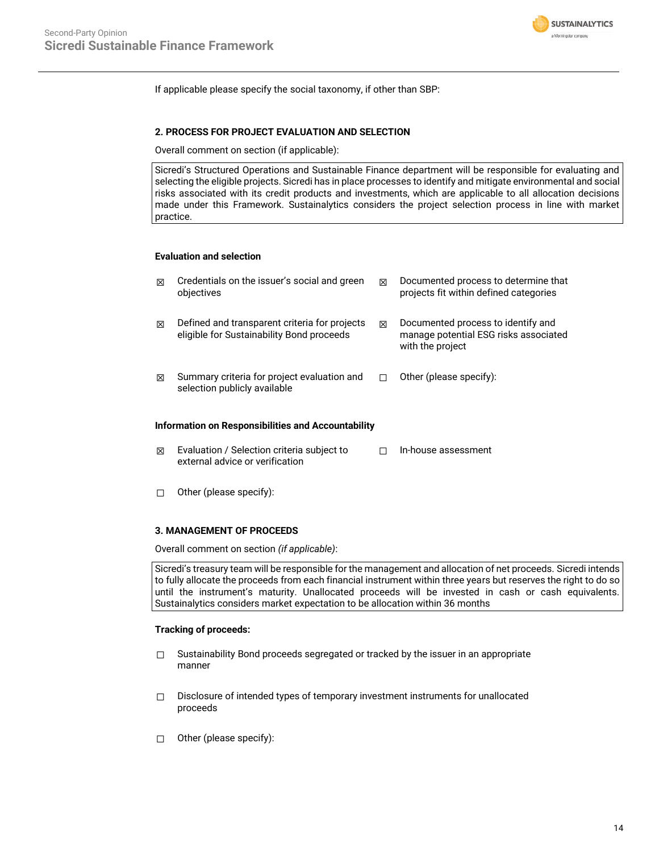

If applicable please specify the social taxonomy, if other than SBP:

### **2. PROCESS FOR PROJECT EVALUATION AND SELECTION**

Overall comment on section (if applicable):

Sicredi's Structured Operations and Sustainable Finance department will be responsible for evaluating and selecting the eligible projects. Sicredi has in place processes to identify and mitigate environmental and social risks associated with its credit products and investments, which are applicable to all allocation decisions made under this Framework. Sustainalytics considers the project selection process in line with market practice.

### **Evaluation and selection**

| ⊠ | Credentials on the issuer's social and green<br>objectives                                 | ⊠ | Documented process to determine that<br>projects fit within defined categories                  |
|---|--------------------------------------------------------------------------------------------|---|-------------------------------------------------------------------------------------------------|
| ⊠ | Defined and transparent criteria for projects<br>eligible for Sustainability Bond proceeds | ⊠ | Documented process to identify and<br>manage potential ESG risks associated<br>with the project |
| ⊠ | Summary criteria for project evaluation and<br>selection publicly available                |   | Other (please specify):                                                                         |

### **Information on Responsibilities and Accountability**

- ☒ Evaluation / Selection criteria subject to external advice or verification ☐ In-house assessment
- ☐ Other (please specify):

#### **3. MANAGEMENT OF PROCEEDS**

Overall comment on section *(if applicable)*:

Sicredi's treasury team will be responsible for the management and allocation of net proceeds. Sicredi intends to fully allocate the proceeds from each financial instrument within three years but reserves the right to do so until the instrument's maturity. Unallocated proceeds will be invested in cash or cash equivalents. Sustainalytics considers market expectation to be allocation within 36 months

#### **Tracking of proceeds:**

- □ Sustainability Bond proceeds segregated or tracked by the issuer in an appropriate manner
- ☐ Disclosure of intended types of temporary investment instruments for unallocated proceeds
- ☐ Other (please specify):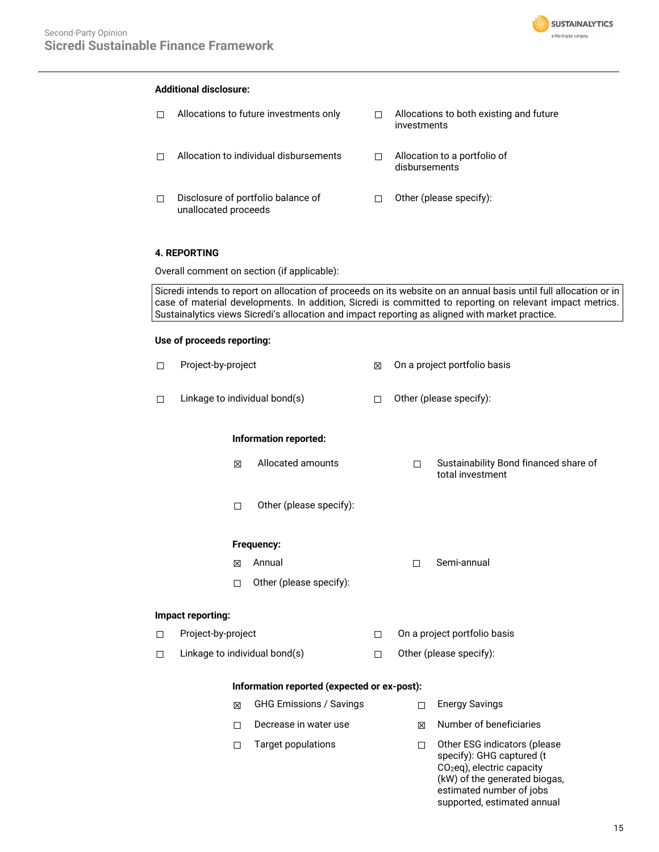

### **Additional disclosure:**

☐ Allocations to future investments only ☐ Allocations to both existing and future investments ☐ Allocation to individual disbursements ☐ Allocation to a portfolio of disbursements ☐ Disclosure of portfolio balance of unallocated proceeds ☐ Other (please specify):

### **4. REPORTING**

Overall comment on section (if applicable):

Sicredi intends to report on allocation of proceeds on its website on an annual basis until full allocation or in case of material developments. In addition, Sicredi is committed to reporting on relevant impact metrics. Sustainalytics views Sicredi's allocation and impact reporting as aligned with market practice.

#### **Use of proceeds reporting:**

| $\Box$ | Project-by-project            |                                             | ⊠      | On a project portfolio basis |                                                                                                                                      |
|--------|-------------------------------|---------------------------------------------|--------|------------------------------|--------------------------------------------------------------------------------------------------------------------------------------|
| □      | Linkage to individual bond(s) |                                             | $\Box$ | Other (please specify):      |                                                                                                                                      |
|        | <b>Information reported:</b>  |                                             |        |                              |                                                                                                                                      |
|        | X                             | Allocated amounts                           |        | $\Box$                       | Sustainability Bond financed share of<br>total investment                                                                            |
|        | $\Box$                        | Other (please specify):                     |        |                              |                                                                                                                                      |
|        |                               | Frequency:                                  |        |                              |                                                                                                                                      |
|        | 区                             | Annual                                      |        | $\Box$                       | Semi-annual                                                                                                                          |
|        | $\Box$                        | Other (please specify):                     |        |                              |                                                                                                                                      |
|        | Impact reporting:             |                                             |        |                              |                                                                                                                                      |
| $\Box$ | Project-by-project            |                                             | $\Box$ | On a project portfolio basis |                                                                                                                                      |
| П      | Linkage to individual bond(s) |                                             | П      | Other (please specify):      |                                                                                                                                      |
|        |                               | Information reported (expected or ex-post): |        |                              |                                                                                                                                      |
|        | X                             | <b>GHG Emissions / Savings</b>              |        | п                            | <b>Energy Savings</b>                                                                                                                |
|        | П                             | Decrease in water use                       |        | ⊠                            | Number of beneficiaries                                                                                                              |
|        | □                             | <b>Target populations</b>                   |        | $\Box$                       | Other ESG indicators (please<br>specify): GHG captured (t<br>CO <sub>2</sub> eq), electric capacity<br>(kW) of the generated biogas, |

estimated number of jobs supported, estimated annual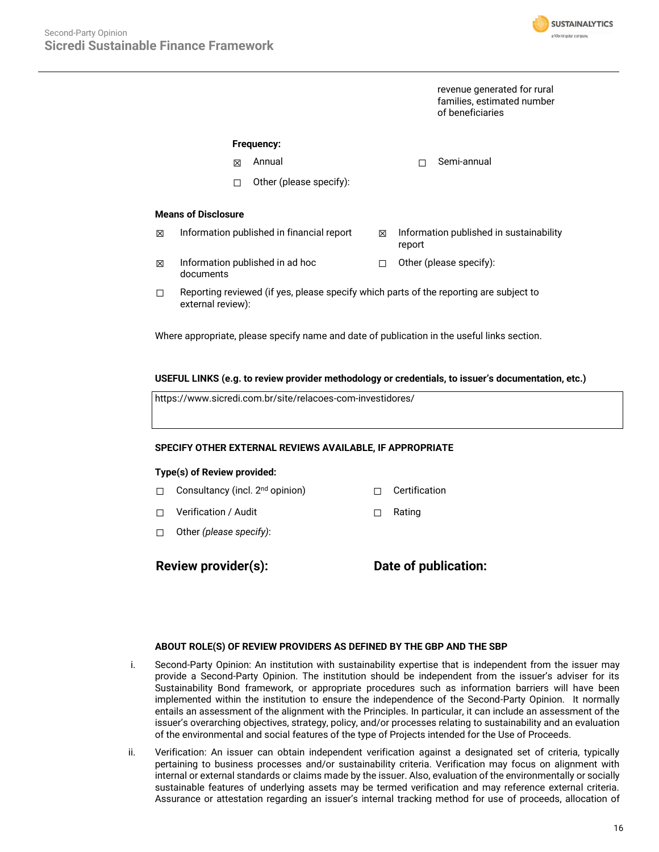

revenue generated for rural families, estimated number of beneficiaries

### **Frequency:**

- ☒ Annual ☐ Semi-annual
- ☐ Other (please specify):

### **Means of Disclosure**

- $\boxtimes$  Information published in financial report  $\boxtimes$  Information published in sustainability report
- $\boxtimes$  Information published in ad hoc documents ☐ Other (please specify):
- $\Box$  Reporting reviewed (if yes, please specify which parts of the reporting are subject to external review):

Where appropriate, please specify name and date of publication in the useful links section.

### **USEFUL LINKS (e.g. to review provider methodology or credentials, to issuer's documentation, etc.)**

https://www.sicredi.com.br/site/relacoes-com-investidores/

### **SPECIFY OTHER EXTERNAL REVIEWS AVAILABLE, IF APPROPRIATE**

#### **Type(s) of Review provided:**

- □ Consultancy (incl. 2<sup>nd</sup> opinion) □ Certification
- ☐ Verification / Audit ☐ Rating
- ☐ Other *(please specify)*:

**Review provider(s): Date of publication:**

#### **ABOUT ROLE(S) OF REVIEW PROVIDERS AS DEFINED BY THE GBP AND THE SBP**

- i. Second-Party Opinion: An institution with sustainability expertise that is independent from the issuer may provide a Second-Party Opinion. The institution should be independent from the issuer's adviser for its Sustainability Bond framework, or appropriate procedures such as information barriers will have been implemented within the institution to ensure the independence of the Second-Party Opinion. It normally entails an assessment of the alignment with the Principles. In particular, it can include an assessment of the issuer's overarching objectives, strategy, policy, and/or processes relating to sustainability and an evaluation of the environmental and social features of the type of Projects intended for the Use of Proceeds.
- ii. Verification: An issuer can obtain independent verification against a designated set of criteria, typically pertaining to business processes and/or sustainability criteria. Verification may focus on alignment with internal or external standards or claims made by the issuer. Also, evaluation of the environmentally or socially sustainable features of underlying assets may be termed verification and may reference external criteria. Assurance or attestation regarding an issuer's internal tracking method for use of proceeds, allocation of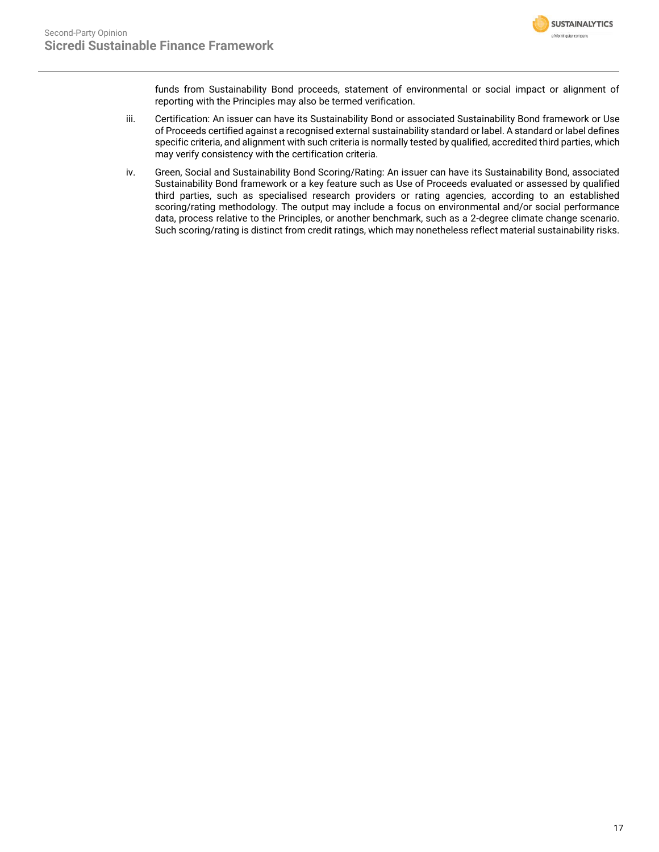

funds from Sustainability Bond proceeds, statement of environmental or social impact or alignment of reporting with the Principles may also be termed verification.

- iii. Certification: An issuer can have its Sustainability Bond or associated Sustainability Bond framework or Use of Proceeds certified against a recognised external sustainability standard or label. A standard or label defines specific criteria, and alignment with such criteria is normally tested by qualified, accredited third parties, which may verify consistency with the certification criteria.
- iv. Green, Social and Sustainability Bond Scoring/Rating: An issuer can have its Sustainability Bond, associated Sustainability Bond framework or a key feature such as Use of Proceeds evaluated or assessed by qualified third parties, such as specialised research providers or rating agencies, according to an established scoring/rating methodology. The output may include a focus on environmental and/or social performance data, process relative to the Principles, or another benchmark, such as a 2-degree climate change scenario. Such scoring/rating is distinct from credit ratings, which may nonetheless reflect material sustainability risks.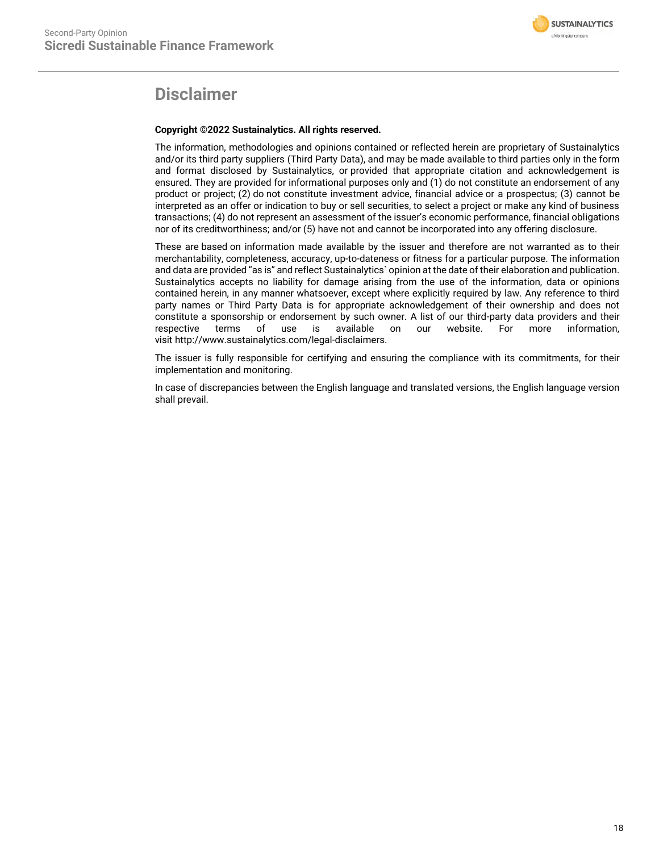

## **Disclaimer**

### **Copyright ©2022 Sustainalytics. All rights reserved.**

The information, methodologies and opinions contained or reflected herein are proprietary of Sustainalytics and/or its third party suppliers (Third Party Data), and may be made available to third parties only in the form and format disclosed by Sustainalytics, or provided that appropriate citation and acknowledgement is ensured. They are provided for informational purposes only and (1) do not constitute an endorsement of any product or project; (2) do not constitute investment advice, financial advice or a prospectus; (3) cannot be interpreted as an offer or indication to buy or sell securities, to select a project or make any kind of business transactions; (4) do not represent an assessment of the issuer's economic performance, financial obligations nor of its creditworthiness; and/or (5) have not and cannot be incorporated into any offering disclosure.

These are based on information made available by the issuer and therefore are not warranted as to their merchantability, completeness, accuracy, up-to-dateness or fitness for a particular purpose. The information and data are provided "as is" and reflect Sustainalytics` opinion at the date of their elaboration and publication. Sustainalytics accepts no liability for damage arising from the use of the information, data or opinions contained herein, in any manner whatsoever, except where explicitly required by law. Any reference to third party names or Third Party Data is for appropriate acknowledgement of their ownership and does not constitute a sponsorship or endorsement by such owner. A list of our third-party data providers and their respective terms of use is available on our website. For more information, visit http://www.sustainalytics.com/legal-disclaimers.

The issuer is fully responsible for certifying and ensuring the compliance with its commitments, for their implementation and monitoring.

In case of discrepancies between the English language and translated versions, the English language version shall prevail.